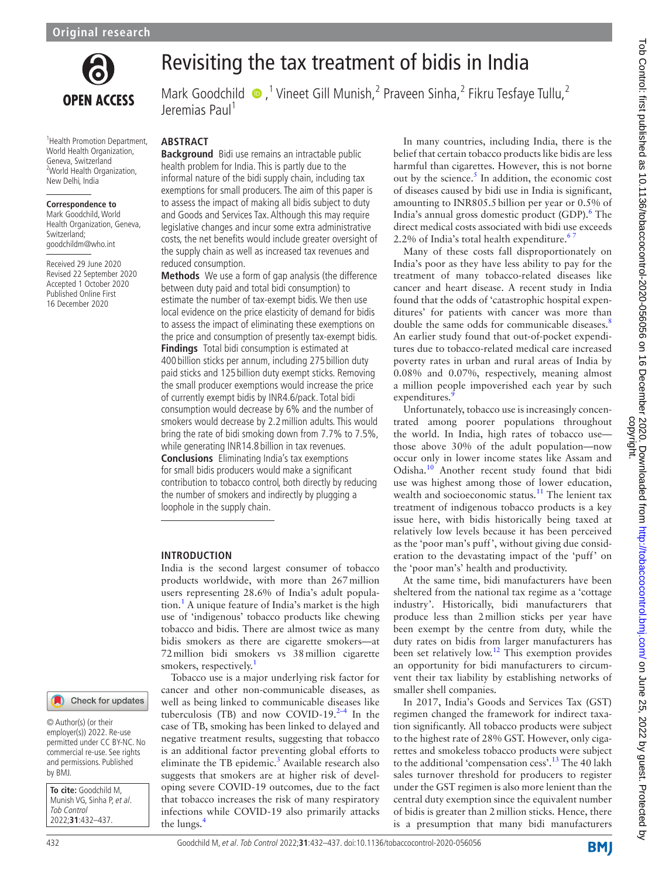

<sup>1</sup> Health Promotion Department, World Health Organization, Geneva, Switzerland <sup>2</sup>World Health Organization,

New Delhi, India

Switzerland; goodchildm@who.int Received 29 June 2020 Revised 22 September 2020 Accepted 1 October 2020 Published Online First 16 December 2020

**Correspondence to** Mark Goodchild, World Health Organization, Geneva,

# Revisiting the tax treatment of bidis in India

MarkGoodchild  $\bullet$ ,<sup>1</sup> Vineet Gill Munish,<sup>2</sup> Praveen Sinha,<sup>2</sup> Fikru Tesfaye Tullu,<sup>2</sup> Jeremias Paul<sup>1</sup>

# **ABSTRACT**

**Background** Bidi use remains an intractable public health problem for India. This is partly due to the informal nature of the bidi supply chain, including tax exemptions for small producers. The aim of this paper is to assess the impact of making all bidis subject to duty and Goods and Services Tax. Although this may require legislative changes and incur some extra administrative costs, the net benefits would include greater oversight of the supply chain as well as increased tax revenues and reduced consumption.

**Methods** We use a form of gap analysis (the difference between duty paid and total bidi consumption) to estimate the number of tax-exempt bidis. We then use local evidence on the price elasticity of demand for bidis to assess the impact of eliminating these exemptions on the price and consumption of presently tax-exempt bidis. **Findings** Total bidi consumption is estimated at 400 billion sticks per annum, including 275 billion duty paid sticks and 125 billion duty exempt sticks. Removing the small producer exemptions would increase the price of currently exempt bidis by INR4.6/pack. Total bidi consumption would decrease by 6% and the number of smokers would decrease by 2.2million adults. This would bring the rate of bidi smoking down from 7.7% to 7.5%, while generating INR14.8 billion in tax revenues. **Conclusions** Eliminating India's tax exemptions for small bidis producers would make a significant contribution to tobacco control, both directly by reducing the number of smokers and indirectly by plugging a loophole in the supply chain.

### **INTRODUCTION**

India is the second largest consumer of tobacco products worldwide, with more than 267million users representing 28.6% of India's adult population.[1](#page-5-0) A unique feature of India's market is the high use of 'indigenous' tobacco products like chewing tobacco and bidis. There are almost twice as many bidis smokers as there are cigarette smokers—at 72million bidi smokers vs 38million cigarette smokers, respectively.<sup>[1](#page-5-0)</sup>

Tobacco use is a major underlying risk factor for cancer and other non-communicable diseases, as well as being linked to communicable diseases like tuberculosis (TB) and now COVID-19. $2-4$  In the case of TB, smoking has been linked to delayed and negative treatment results, suggesting that tobacco is an additional factor preventing global efforts to eliminate the TB epidemic.<sup>3</sup> Available research also suggests that smokers are at higher risk of developing severe COVID-19 outcomes, due to the fact that tobacco increases the risk of many respiratory infections while COVID-19 also primarily attacks the lungs.<sup>4</sup>

In many countries, including India, there is the belief that certain tobacco products like bidis are less harmful than cigarettes. However, this is not borne out by the science. $5$  In addition, the economic cost of diseases caused by bidi use in India is significant, amounting to INR805.5billion per year or 0.5% of India's annual gross domestic product (GDP).<sup>6</sup> The direct medical costs associated with bidi use exceeds 2.2% of India's total health expenditure. $\frac{6}{1}$ 

Many of these costs fall disproportionately on India's poor as they have less ability to pay for the treatment of many tobacco-related diseases like cancer and heart disease. A recent study in India found that the odds of 'catastrophic hospital expenditures' for patients with cancer was more than double the same odds for communicable diseases.<sup>[8](#page-5-6)</sup> An earlier study found that out-of-pocket expenditures due to tobacco-related medical care increased poverty rates in urban and rural areas of India by 0.08% and 0.07%, respectively, meaning almost a million people impoverished each year by such expenditures.

Unfortunately, tobacco use is increasingly concentrated among poorer populations throughout the world. In India, high rates of tobacco use those above 30% of the adult population—now occur only in lower income states like Assam and Odisha.[10](#page-5-8) Another recent study found that bidi use was highest among those of lower education, wealth and socioeconomic status.<sup>11</sup> The lenient tax treatment of indigenous tobacco products is a key issue here, with bidis historically being taxed at relatively low levels because it has been perceived as the 'poor man's puff', without giving due consideration to the devastating impact of the 'puff' on the 'poor man's' health and productivity.

At the same time, bidi manufacturers have been sheltered from the national tax regime as a 'cottage industry'. Historically, bidi manufacturers that produce less than 2million sticks per year have been exempt by the centre from duty, while the duty rates on bidis from larger manufacturers has been set relatively low.[12](#page-5-10) This exemption provides an opportunity for bidi manufacturers to circumvent their tax liability by establishing networks of smaller shell companies.

In 2017, India's Goods and Services Tax (GST) regimen changed the framework for indirect taxation significantly. All tobacco products were subject to the highest rate of 28% GST. However, only cigarettes and smokeless tobacco products were subject to the additional 'compensation cess'.<sup>[13](#page-5-11)</sup> The 40 lakh sales turnover threshold for producers to register under the GST regimen is also more lenient than the central duty exemption since the equivalent number of bidis is greater than 2million sticks. Hence, there is a presumption that many bidi manufacturers

# Check for updates

© Author(s) (or their employer(s)) 2022. Re-use permitted under CC BY-NC. No commercial re-use. See rights and permissions. Published by BMJ.

**To cite:** Goodchild M, Munish VG, Sinha P, et al. Tob Control 2022;**31**:432–437.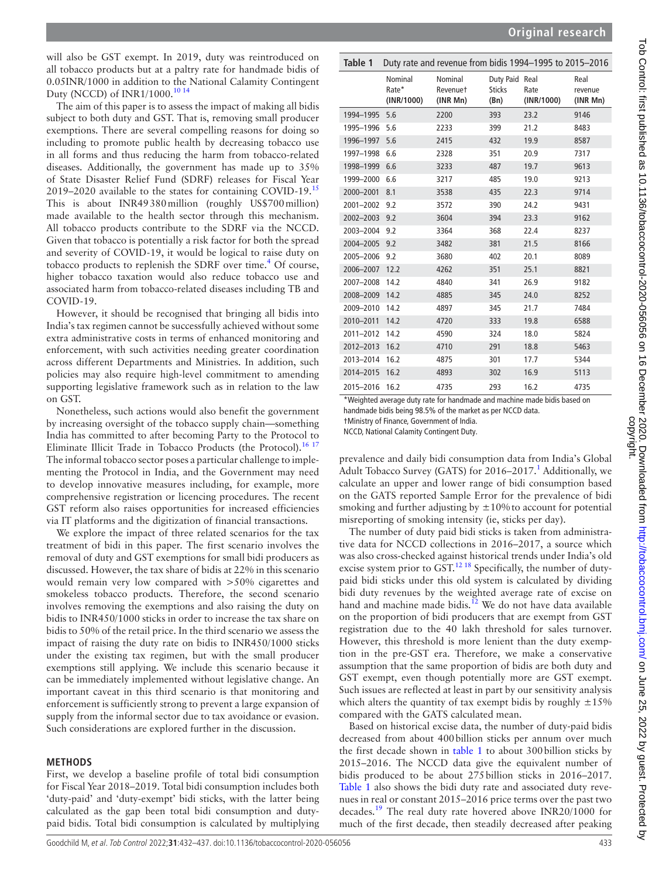will also be GST exempt. In 2019, duty was reintroduced on all tobacco products but at a paltry rate for handmade bidis of 0.05INR/1000 in addition to the National Calamity Contingent Duty (NCCD) of INR1/1000.<sup>[10 14](#page-5-8)</sup>

The aim of this paper is to assess the impact of making all bidis subject to both duty and GST. That is, removing small producer exemptions. There are several compelling reasons for doing so including to promote public health by decreasing tobacco use in all forms and thus reducing the harm from tobacco-related diseases. Additionally, the government has made up to 35% of State Disaster Relief Fund (SDRF) releases for Fiscal Year 2019–2020 available to the states for containing COVID-19.<sup>[15](#page-5-12)</sup> This is about INR49380million (roughly US\$700million) made available to the health sector through this mechanism. All tobacco products contribute to the SDRF via the NCCD. Given that tobacco is potentially a risk factor for both the spread and severity of COVID-19, it would be logical to raise duty on tobacco products to replenish the SDRF over time.<sup>[4](#page-5-3)</sup> Of course, higher tobacco taxation would also reduce tobacco use and associated harm from tobacco-related diseases including TB and COVID-19.

However, it should be recognised that bringing all bidis into India's tax regimen cannot be successfully achieved without some extra administrative costs in terms of enhanced monitoring and enforcement, with such activities needing greater coordination across different Departments and Ministries. In addition, such policies may also require high-level commitment to amending supporting legislative framework such as in relation to the law on GST.

Nonetheless, such actions would also benefit the government by increasing oversight of the tobacco supply chain—something India has committed to after becoming Party to the Protocol to Eliminate Illicit Trade in Tobacco Products (the Protocol).<sup>[16 17](#page-5-13)</sup> The informal tobacco sector poses a particular challenge to implementing the Protocol in India, and the Government may need to develop innovative measures including, for example, more comprehensive registration or licencing procedures. The recent GST reform also raises opportunities for increased efficiencies via IT platforms and the digitization of financial transactions.

We explore the impact of three related scenarios for the tax treatment of bidi in this paper. The first scenario involves the removal of duty and GST exemptions for small bidi producers as discussed. However, the tax share of bidis at 22% in this scenario would remain very low compared with >50% cigarettes and smokeless tobacco products. Therefore, the second scenario involves removing the exemptions and also raising the duty on bidis to INR450/1000 sticks in order to increase the tax share on bidis to 50% of the retail price. In the third scenario we assess the impact of raising the duty rate on bidis to INR450/1000 sticks under the existing tax regimen, but with the small producer exemptions still applying. We include this scenario because it can be immediately implemented without legislative change. An important caveat in this third scenario is that monitoring and enforcement is sufficiently strong to prevent a large expansion of supply from the informal sector due to tax avoidance or evasion. Such considerations are explored further in the discussion.

### **METHODS**

First, we develop a baseline profile of total bidi consumption for Fiscal Year 2018–2019. Total bidi consumption includes both 'duty-paid' and 'duty-exempt' bidi sticks, with the latter being calculated as the gap been total bidi consumption and dutypaid bidis. Total bidi consumption is calculated by multiplying

<span id="page-1-0"></span>

| Table 1               |                                | Duty rate and revenue from bidis 1994-1995 to 2015-2016                                                  |                                         |                    |                             |
|-----------------------|--------------------------------|----------------------------------------------------------------------------------------------------------|-----------------------------------------|--------------------|-----------------------------|
|                       | Nominal<br>Rate*<br>(INR/1000) | Nominal<br>Revenuet<br>(INR Mn)                                                                          | Duty Paid Real<br><b>Sticks</b><br>(Bn) | Rate<br>(INR/1000) | Real<br>revenue<br>(INR Mn) |
| 1994-1995             | 5.6                            | 2200                                                                                                     | 393                                     | 23.2               | 9146                        |
| 1995-1996             | 5.6                            | 2233                                                                                                     | 399                                     | 21.2               | 8483                        |
| 1996-1997             | 5.6                            | 2415                                                                                                     | 432                                     | 19.9               | 8587                        |
| 1997-1998             | 6.6                            | 2328                                                                                                     | 351                                     | 20.9               | 7317                        |
| 1998-1999             | 6.6                            | 3233                                                                                                     | 487                                     | 19.7               | 9613                        |
| 1999-2000             | 6.6                            | 3217                                                                                                     | 485                                     | 19.0               | 9213                        |
| 2000-2001             | 8.1                            | 3538                                                                                                     | 435                                     | 22.3               | 9714                        |
| 2001-2002             | 9.2                            | 3572                                                                                                     | 390                                     | 24.2               | 9431                        |
| 2002-2003             | 9.2                            | 3604                                                                                                     | 394                                     | 23.3               | 9162                        |
| 2003-2004             | 9.2                            | 3364                                                                                                     | 368                                     | 22.4               | 8237                        |
| 2004-2005             | 9.2                            | 3482                                                                                                     | 381                                     | 21.5               | 8166                        |
| 2005-2006             | 9.2                            | 3680                                                                                                     | 402                                     | 20.1               | 8089                        |
| 2006-2007             | 12.2                           | 4262                                                                                                     | 351                                     | 25.1               | 8821                        |
| 2007-2008             | 14.2                           | 4840                                                                                                     | 341                                     | 26.9               | 9182                        |
| 2008-2009             | 14.2                           | 4885                                                                                                     | 345                                     | 24.0               | 8252                        |
| 2009-2010             | 14.2                           | 4897                                                                                                     | 345                                     | 21.7               | 7484                        |
| 2010-2011             | 14.2                           | 4720                                                                                                     | 333                                     | 19.8               | 6588                        |
| 2011-2012             | 14.2                           | 4590                                                                                                     | 324                                     | 18.0               | 5824                        |
| 2012-2013             | 16.2                           | 4710                                                                                                     | 291                                     | 18.8               | 5463                        |
| 2013-2014             | 16.2                           | 4875                                                                                                     | 301                                     | 17.7               | 5344                        |
| 2014-2015             | 16.2                           | 4893                                                                                                     | 302                                     | 16.9               | 5113                        |
| 2015-2016<br>$*111.5$ | 16.2                           | 4735<br>to all and some of the later alleged to the later of the control of the later later to a control | 293                                     | 16.2               | 4735                        |

Weighted average duty rate for handmade and machine made bidis based on

handmade bidis being 98.5% of the market as per NCCD data.

†Ministry of Finance, Government of India.

NCCD, National Calamity Contingent Duty.

prevalence and daily bidi consumption data from India's Global Adult Tobacco Survey (GATS) for 2016-2017.<sup>1</sup> Additionally, we calculate an upper and lower range of bidi consumption based on the GATS reported Sample Error for the prevalence of bidi smoking and further adjusting by  $\pm 10\%$  to account for potential misreporting of smoking intensity (ie, sticks per day).

The number of duty paid bidi sticks is taken from administrative data for NCCD collections in 2016–2017, a source which was also cross-checked against historical trends under India's old excise system prior to GST.<sup>12.18</sup> Specifically, the number of dutypaid bidi sticks under this old system is calculated by dividing bidi duty revenues by the weighted average rate of excise on hand and machine made bidis.<sup>12</sup> We do not have data available on the proportion of bidi producers that are exempt from GST registration due to the 40 lakh threshold for sales turnover. However, this threshold is more lenient than the duty exemption in the pre-GST era. Therefore, we make a conservative assumption that the same proportion of bidis are both duty and GST exempt, even though potentially more are GST exempt. Such issues are reflected at least in part by our sensitivity analysis which alters the quantity of tax exempt bidis by roughly  $\pm 15\%$ compared with the GATS calculated mean.

Based on historical excise data, the number of duty-paid bidis decreased from about 400billion sticks per annum over much the first decade shown in [table](#page-1-0) 1 to about 300billion sticks by 2015–2016. The NCCD data give the equivalent number of bidis produced to be about 275billion sticks in 2016–2017. [Table](#page-1-0) 1 also shows the bidi duty rate and associated duty revenues in real or constant 2015–2016 price terms over the past two decades[.19](#page-5-14) The real duty rate hovered above INR20/1000 for much of the first decade, then steadily decreased after peaking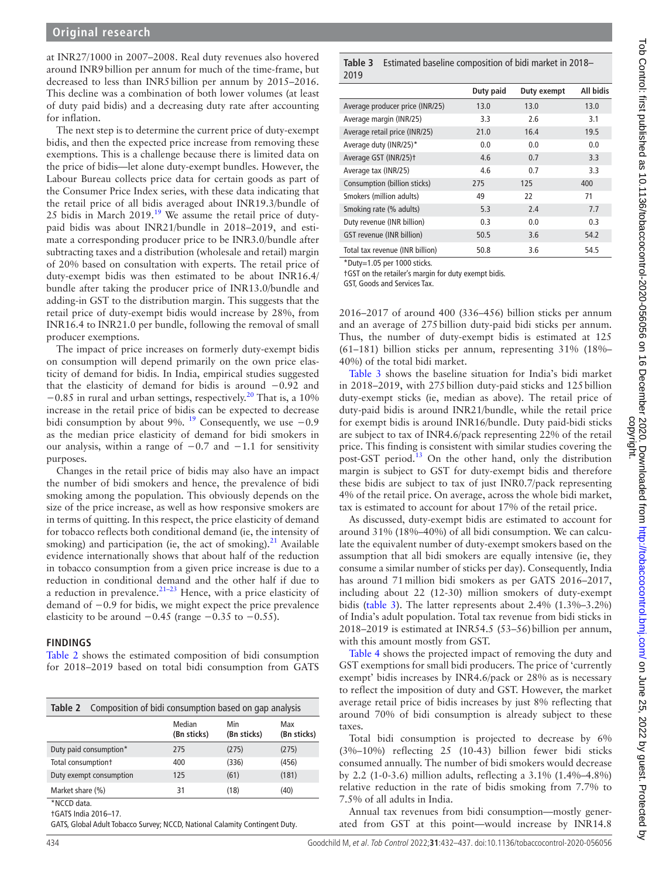at INR27/1000 in 2007–2008. Real duty revenues also hovered around INR9billion per annum for much of the time-frame, but decreased to less than INR5billion per annum by 2015–2016. This decline was a combination of both lower volumes (at least of duty paid bidis) and a decreasing duty rate after accounting for inflation.

The next step is to determine the current price of duty-exempt bidis, and then the expected price increase from removing these exemptions. This is a challenge because there is limited data on the price of bidis—let alone duty-exempt bundles. However, the Labour Bureau collects price data for certain goods as part of the Consumer Price Index series, with these data indicating that the retail price of all bidis averaged about INR19.3/bundle of 25 bidis in March  $2019$ .<sup>19</sup> We assume the retail price of dutypaid bidis was about INR21/bundle in 2018–2019, and estimate a corresponding producer price to be INR3.0/bundle after subtracting taxes and a distribution (wholesale and retail) margin of 20% based on consultation with experts. The retail price of duty-exempt bidis was then estimated to be about INR16.4/ bundle after taking the producer price of INR13.0/bundle and adding-in GST to the distribution margin. This suggests that the retail price of duty-exempt bidis would increase by 28%, from INR16.4 to INR21.0 per bundle, following the removal of small producer exemptions.

The impact of price increases on formerly duty-exempt bidis on consumption will depend primarily on the own price elasticity of demand for bidis. In India, empirical studies suggested that the elasticity of demand for bidis is around −0.92 and  $-0.85$  in rural and urban settings, respectively.<sup>20</sup> That is, a 10% increase in the retail price of bidis can be expected to decrease bidi consumption by about 9%. <sup>[19](#page-5-14)</sup> Consequently, we use  $-0.9$ as the median price elasticity of demand for bidi smokers in our analysis, within a range of −0.7 and −1.1 for sensitivity purposes.

Changes in the retail price of bidis may also have an impact the number of bidi smokers and hence, the prevalence of bidi smoking among the population. This obviously depends on the size of the price increase, as well as how responsive smokers are in terms of quitting. In this respect, the price elasticity of demand for tobacco reflects both conditional demand (ie, the intensity of smoking) and participation (ie, the act of smoking).<sup>21</sup> Available evidence internationally shows that about half of the reduction in tobacco consumption from a given price increase is due to a reduction in conditional demand and the other half if due to a reduction in prevalence. $21-23$  Hence, with a price elasticity of demand of −0.9 for bidis, we might expect the price prevalence elasticity to be around  $-0.45$  (range  $-0.35$  to  $-0.55$ ).

### **FINDINGS**

[Table](#page-2-0) 2 shows the estimated composition of bidi consumption for 2018–2019 based on total bidi consumption from GATS

<span id="page-2-0"></span>

| Composition of bidi consumption based on gap analysis<br>Table 2 |                       |                    |                    |  |
|------------------------------------------------------------------|-----------------------|--------------------|--------------------|--|
|                                                                  | Median<br>(Bn sticks) | Min<br>(Bn sticks) | Max<br>(Bn sticks) |  |
| Duty paid consumption*                                           | 275                   | (275)              | (275)              |  |
| Total consumption+                                               | 400                   | (336)              | (456)              |  |
| Duty exempt consumption                                          | 125                   | (61)               | (181)              |  |
| Market share (%)<br>$*NCAB, 1$                                   | 31                    | (18)               | (40)               |  |

\*NCCD data.

†GATS India 2016–17.

GATS, Global Adult Tobacco Survey; NCCD, National Calamity Contingent Duty.

#### <span id="page-2-1"></span>**Table 3** Estimated baseline composition of bidi market in 2018– 2019

|                                   | Duty paid | Duty exempt | All bidis |
|-----------------------------------|-----------|-------------|-----------|
| Average producer price (INR/25)   | 13.0      | 13.0        | 13.0      |
| Average margin (INR/25)           | 3.3       | 2.6         | 3.1       |
| Average retail price (INR/25)     | 21.0      | 16.4        | 19.5      |
| Average duty (INR/25)*            | 0.0       | 0.0         | 0.0       |
| Average GST (INR/25) <sup>+</sup> | 4.6       | 0.7         | 3.3       |
| Average tax (INR/25)              | 4.6       | 0.7         | 3.3       |
| Consumption (billion sticks)      | 275       | 125         | 400       |
| Smokers (million adults)          | 49        | 22          | 71        |
| Smoking rate (% adults)           | 5.3       | 2.4         | 7.7       |
| Duty revenue (INR billion)        | 0.3       | 0.0         | 0.3       |
| GST revenue (INR billion)         | 50.5      | 3.6         | 54.2      |
| Total tax revenue (INR billion)   | 50.8      | 3.6         | 54.5      |

\*Duty=1.05 per 1000 sticks.

†GST on the retailer's margin for duty exempt bidis.

GST, Goods and Services Tax.

2016–2017 of around 400 (336–456) billion sticks per annum and an average of 275billion duty-paid bidi sticks per annum. Thus, the number of duty-exempt bidis is estimated at 125 (61–181) billion sticks per annum, representing 31% (18%– 40%) of the total bidi market.

[Table](#page-2-1) 3 shows the baseline situation for India's bidi market in 2018–2019, with 275billion duty-paid sticks and 125billion duty-exempt sticks (ie, median as above). The retail price of duty-paid bidis is around INR21/bundle, while the retail price for exempt bidis is around INR16/bundle. Duty paid-bidi sticks are subject to tax of INR4.6/pack representing 22% of the retail price. This finding is consistent with similar studies covering the post-GST period.<sup>[13](#page-5-11)</sup> On the other hand, only the distribution margin is subject to GST for duty-exempt bidis and therefore these bidis are subject to tax of just INR0.7/pack representing 4% of the retail price. On average, across the whole bidi market, tax is estimated to account for about 17% of the retail price.

As discussed, duty-exempt bidis are estimated to account for around 31% (18%–40%) of all bidi consumption. We can calculate the equivalent number of duty-exempt smokers based on the assumption that all bidi smokers are equally intensive (ie, they consume a similar number of sticks per day). Consequently, India has around 71million bidi smokers as per GATS 2016–2017, including about 22 (12-30) million smokers of duty-exempt bidis [\(table](#page-2-1) 3). The latter represents about 2.4% (1.3%–3.2%) of India's adult population. Total tax revenue from bidi sticks in 2018–2019 is estimated at INR54.5 (53–56)billion per annum, with this amount mostly from GST.

[Table](#page-3-0) 4 shows the projected impact of removing the duty and GST exemptions for small bidi producers. The price of 'currently exempt' bidis increases by INR4.6/pack or 28% as is necessary to reflect the imposition of duty and GST. However, the market average retail price of bidis increases by just 8% reflecting that around 70% of bidi consumption is already subject to these taxes.

Total bidi consumption is projected to decrease by 6% (3%–10%) reflecting 25 (10-43) billion fewer bidi sticks consumed annually. The number of bidi smokers would decrease by 2.2 (1-0-3.6) million adults, reflecting a 3.1% (1.4%–4.8%) relative reduction in the rate of bidis smoking from 7.7% to 7.5% of all adults in India.

Annual tax revenues from bidi consumption—mostly generated from GST at this point—would increase by INR14.8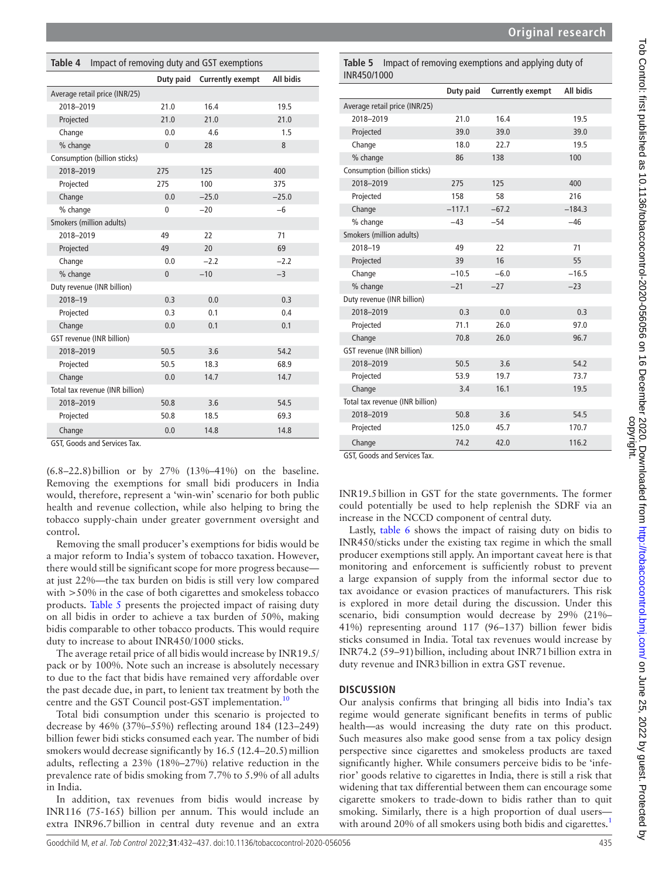| Original research |  |  |  |  |  |  |  |  |
|-------------------|--|--|--|--|--|--|--|--|
|-------------------|--|--|--|--|--|--|--|--|

<span id="page-3-0"></span>

| Impact of removing duty and GST exemptions<br>Table 4 |              |                         |                  |  |  |
|-------------------------------------------------------|--------------|-------------------------|------------------|--|--|
|                                                       | Duty paid    | <b>Currently exempt</b> | <b>All bidis</b> |  |  |
| Average retail price (INR/25)                         |              |                         |                  |  |  |
| 2018-2019                                             | 21.0         | 16.4                    | 19.5             |  |  |
| Projected                                             | 21.0         | 21.0                    | 21.0             |  |  |
| Change                                                | 0.0          | 4.6                     | 1.5              |  |  |
| % change                                              | $\mathbf{0}$ | 28                      | 8                |  |  |
| Consumption (billion sticks)                          |              |                         |                  |  |  |
| 2018-2019                                             | 275          | 125                     | 400              |  |  |
| Projected                                             | 275          | 100                     | 375              |  |  |
| Change                                                | 0.0          | $-25.0$                 | $-25.0$          |  |  |
| % change                                              | 0            | $-20$                   | $-6$             |  |  |
| Smokers (million adults)                              |              |                         |                  |  |  |
| 2018-2019                                             | 49           | 22                      | 71               |  |  |
| Projected                                             | 49           | 20                      | 69               |  |  |
| Change                                                | 0.0          | $-2.2$                  | $-2.2$           |  |  |
| % change                                              | $\mathbf{0}$ | $-10$                   | $-3$             |  |  |
| Duty revenue (INR billion)                            |              |                         |                  |  |  |
| 2018-19                                               | 0.3          | 0.0                     | 0.3              |  |  |
| Projected                                             | 0.3          | 0.1                     | 0.4              |  |  |
| Change                                                | 0.0          | 0.1                     | 0.1              |  |  |
| GST revenue (INR billion)                             |              |                         |                  |  |  |
| 2018-2019                                             | 50.5         | 3.6                     | 54.2             |  |  |
| Projected                                             | 50.5         | 18.3                    | 68.9             |  |  |
| Change                                                | 0.0          | 14.7                    | 14.7             |  |  |
| Total tax revenue (INR billion)                       |              |                         |                  |  |  |
| 2018-2019                                             | 50.8         | 3.6                     | 54.5             |  |  |
| Projected                                             | 50.8         | 18.5                    | 69.3             |  |  |
| Change                                                | 0.0          | 14.8                    | 14.8             |  |  |

GST, Goods and Services Tax.

(6.8–22.8)billion or by 27% (13%–41%) on the baseline. Removing the exemptions for small bidi producers in India would, therefore, represent a 'win-win' scenario for both public health and revenue collection, while also helping to bring the tobacco supply-chain under greater government oversight and control.

Removing the small producer's exemptions for bidis would be a major reform to India's system of tobacco taxation. However, there would still be significant scope for more progress because at just 22%—the tax burden on bidis is still very low compared with  $>50\%$  in the case of both cigarettes and smokeless tobacco products. [Table](#page-3-1) 5 presents the projected impact of raising duty on all bidis in order to achieve a tax burden of 50%, making bidis comparable to other tobacco products. This would require duty to increase to about INR450/1000 sticks.

The average retail price of all bidis would increase by INR19.5/ pack or by 100%. Note such an increase is absolutely necessary to due to the fact that bidis have remained very affordable over the past decade due, in part, to lenient tax treatment by both the centre and the GST Council post-GST implementation.<sup>10</sup>

Total bidi consumption under this scenario is projected to decrease by 46% (37%–55%) reflecting around 184 (123–249) billion fewer bidi sticks consumed each year. The number of bidi smokers would decrease significantly by  $16.5$  (12.4–20.5) million adults, reflecting a 23% (18%–27%) relative reduction in the prevalence rate of bidis smoking from 7.7% to 5.9% of all adults in India.

In addition, tax revenues from bidis would increase by INR116 (75-165) billion per annum. This would include an extra INR96.7billion in central duty revenue and an extra

<span id="page-3-1"></span>**Table 5** Impact of removing exemptions and applying duty of INR450/1000

|                                 | Duty paid | <b>Currently exempt</b> | <b>All bidis</b> |
|---------------------------------|-----------|-------------------------|------------------|
| Average retail price (INR/25)   |           |                         |                  |
| 2018-2019                       | 21.0      | 16.4                    | 19.5             |
| Projected                       | 39.0      | 39.0                    | 39.0             |
| Change                          | 18.0      | 22.7                    | 19.5             |
| % change                        | 86        | 138                     | 100              |
| Consumption (billion sticks)    |           |                         |                  |
| 2018-2019                       | 275       | 125                     | 400              |
| Projected                       | 158       | 58                      | 216              |
| Change                          | $-117.1$  | $-67.2$                 | $-184.3$         |
| % change                        | $-43$     | $-54$                   | $-46$            |
| Smokers (million adults)        |           |                         |                  |
| 2018-19                         | 49        | 22                      | 71               |
| Projected                       | 39        | 16                      | 55               |
| Change                          | $-10.5$   | $-6.0$                  | $-16.5$          |
| % change                        | $-21$     | $-27$                   | $-23$            |
| Duty revenue (INR billion)      |           |                         |                  |
| 2018-2019                       | 0.3       | 0.0                     | 0.3              |
| Projected                       | 71.1      | 26.0                    | 97.0             |
| Change                          | 70.8      | 26.0                    | 96.7             |
| GST revenue (INR billion)       |           |                         |                  |
| 2018-2019                       | 50.5      | 3.6                     | 54.2             |
| Projected                       | 53.9      | 19.7                    | 73.7             |
| Change                          | 3.4       | 16.1                    | 19.5             |
| Total tax revenue (INR billion) |           |                         |                  |
| 2018-2019                       | 50.8      | 3.6                     | 54.5             |
| Projected                       | 125.0     | 45.7                    | 170.7            |
| Change                          | 74.2      | 42.0                    | 116.2            |

GST, Goods and Services Tax.

INR19.5billion in GST for the state governments. The former could potentially be used to help replenish the SDRF via an increase in the NCCD component of central duty.

Lastly, [table](#page-4-0) 6 shows the impact of raising duty on bidis to INR450/sticks under the existing tax regime in which the small producer exemptions still apply. An important caveat here is that monitoring and enforcement is sufficiently robust to prevent a large expansion of supply from the informal sector due to tax avoidance or evasion practices of manufacturers. This risk is explored in more detail during the discussion. Under this scenario, bidi consumption would decrease by 29% (21%– 41%) representing around 117 (96–137) billion fewer bidis sticks consumed in India. Total tax revenues would increase by INR74.2 (59–91)billion, including about INR71billion extra in duty revenue and INR3billion in extra GST revenue.

### **DISCUSSION**

Our analysis confirms that bringing all bidis into India's tax regime would generate significant benefits in terms of public health—as would increasing the duty rate on this product. Such measures also make good sense from a tax policy design perspective since cigarettes and smokeless products are taxed significantly higher. While consumers perceive bidis to be 'inferior' goods relative to cigarettes in India, there is still a risk that widening that tax differential between them can encourage some cigarette smokers to trade-down to bidis rather than to quit smoking. Similarly, there is a high proportion of dual users— with around 20% of all smokers using both bidis and cigarettes.<sup>[1](#page-5-0)</sup>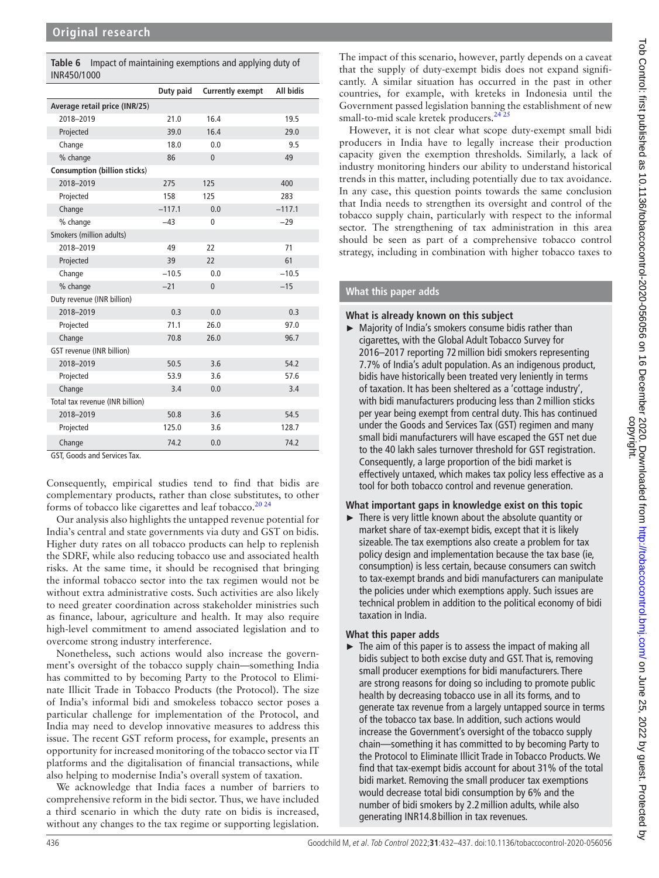<span id="page-4-0"></span>

|             | Table 6 Impact of maintaining exemptions and applying duty of |
|-------------|---------------------------------------------------------------|
| INR450/1000 |                                                               |

|                                     | Duty paid | <b>Currently exempt</b> | <b>All bidis</b> |
|-------------------------------------|-----------|-------------------------|------------------|
| Average retail price (INR/25)       |           |                         |                  |
| 2018-2019                           | 21.0      | 16.4                    | 19.5             |
| Projected                           | 39.0      | 16.4                    | 29.0             |
| Change                              | 18.0      | 0.0                     | 9.5              |
| % change                            | 86        | $\mathbf{0}$            | 49               |
| <b>Consumption (billion sticks)</b> |           |                         |                  |
| 2018-2019                           | 275       | 125                     | 400              |
| Projected                           | 158       | 125                     | 283              |
| Change                              | $-117.1$  | 0.0                     | $-117.1$         |
| % change                            | $-43$     | $\mathbf{0}$            | $-29$            |
| Smokers (million adults)            |           |                         |                  |
| 2018-2019                           | 49        | 22                      | 71               |
| Projected                           | 39        | 22                      | 61               |
| Change                              | $-10.5$   | 0.0                     | $-10.5$          |
| % change                            | $-21$     | $\mathbf{0}$            | $-15$            |
| Duty revenue (INR billion)          |           |                         |                  |
| 2018-2019                           | 0.3       | 0.0                     | 0.3              |
| Projected                           | 71.1      | 26.0                    | 97.0             |
| Change                              | 70.8      | 26.0                    | 96.7             |
| GST revenue (INR billion)           |           |                         |                  |
| 2018-2019                           | 50.5      | 3.6                     | 54.2             |
| Projected                           | 53.9      | 3.6                     | 57.6             |
| Change                              | 3.4       | 0.0                     | 3.4              |
| Total tax revenue (INR billion)     |           |                         |                  |
| 2018-2019                           | 50.8      | 3.6                     | 54.5             |
| Projected                           | 125.0     | 3.6                     | 128.7            |
| Change                              | 74.2      | 0.0                     | 74.2             |

GST, Goods and Services Tax.

Consequently, empirical studies tend to find that bidis are complementary products, rather than close substitutes, to other forms of tobacco like cigarettes and leaf tobacco.<sup>20 24</sup>

Our analysis also highlights the untapped revenue potential for India's central and state governments via duty and GST on bidis. Higher duty rates on all tobacco products can help to replenish the SDRF, while also reducing tobacco use and associated health risks. At the same time, it should be recognised that bringing the informal tobacco sector into the tax regimen would not be without extra administrative costs. Such activities are also likely to need greater coordination across stakeholder ministries such as finance, labour, agriculture and health. It may also require high-level commitment to amend associated legislation and to overcome strong industry interference.

Nonetheless, such actions would also increase the government's oversight of the tobacco supply chain—something India has committed to by becoming Party to the Protocol to Eliminate Illicit Trade in Tobacco Products (the Protocol). The size of India's informal bidi and smokeless tobacco sector poses a particular challenge for implementation of the Protocol, and India may need to develop innovative measures to address this issue. The recent GST reform process, for example, presents an opportunity for increased monitoring of the tobacco sector via IT platforms and the digitalisation of financial transactions, while also helping to modernise India's overall system of taxation.

We acknowledge that India faces a number of barriers to comprehensive reform in the bidi sector. Thus, we have included a third scenario in which the duty rate on bidis is increased, without any changes to the tax regime or supporting legislation.

The impact of this scenario, however, partly depends on a caveat that the supply of duty-exempt bidis does not expand significantly. A similar situation has occurred in the past in other countries, for example, with kreteks in Indonesia until the Government passed legislation banning the establishment of new small-to-mid scale kretek producers.<sup>24</sup>

However, it is not clear what scope duty-exempt small bidi producers in India have to legally increase their production capacity given the exemption thresholds. Similarly, a lack of industry monitoring hinders our ability to understand historical trends in this matter, including potentially due to tax avoidance. In any case, this question points towards the same conclusion that India needs to strengthen its oversight and control of the tobacco supply chain, particularly with respect to the informal sector. The strengthening of tax administration in this area should be seen as part of a comprehensive tobacco control strategy, including in combination with higher tobacco taxes to

# **What this paper adds**

## **What is already known on this subject**

► Majority of India's smokers consume bidis rather than cigarettes, with the Global Adult Tobacco Survey for 2016–2017 reporting 72million bidi smokers representing 7.7% of India's adult population. As an indigenous product, bidis have historically been treated very leniently in terms of taxation. It has been sheltered as a 'cottage industry', with bidi manufacturers producing less than 2 million sticks per year being exempt from central duty. This has continued under the Goods and Services Tax (GST) regimen and many small bidi manufacturers will have escaped the GST net due to the 40 lakh sales turnover threshold for GST registration. Consequently, a large proportion of the bidi market is effectively untaxed, which makes tax policy less effective as a tool for both tobacco control and revenue generation.

# **What important gaps in knowledge exist on this topic**

 $\blacktriangleright$  There is very little known about the absolute quantity or market share of tax-exempt bidis, except that it is likely sizeable. The tax exemptions also create a problem for tax policy design and implementation because the tax base (ie, consumption) is less certain, because consumers can switch to tax-exempt brands and bidi manufacturers can manipulate the policies under which exemptions apply. Such issues are technical problem in addition to the political economy of bidi taxation in India.

# **What this paper adds**

 $\blacktriangleright$  The aim of this paper is to assess the impact of making all bidis subject to both excise duty and GST. That is, removing small producer exemptions for bidi manufacturers. There are strong reasons for doing so including to promote public health by decreasing tobacco use in all its forms, and to generate tax revenue from a largely untapped source in terms of the tobacco tax base. In addition, such actions would increase the Government's oversight of the tobacco supply chain—something it has committed to by becoming Party to the Protocol to Eliminate Illicit Trade in Tobacco Products. We find that tax-exempt bidis account for about 31% of the total bidi market. Removing the small producer tax exemptions would decrease total bidi consumption by 6% and the number of bidi smokers by 2.2million adults, while also generating INR14.8 billion in tax revenues.